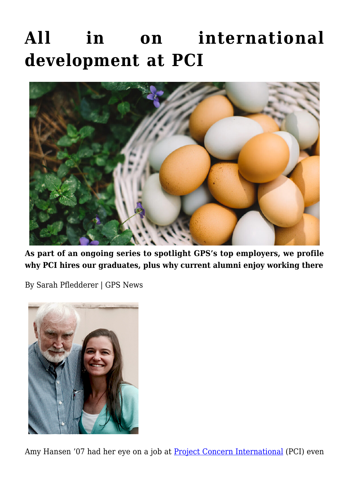## **[All in on international](https://gpsnews.ucsd.edu/all-in-on-international-development-at-pci/) [development at PCI](https://gpsnews.ucsd.edu/all-in-on-international-development-at-pci/)**



**As part of an ongoing series to spotlight GPS's top employers, we profile why PCI hires our graduates, plus why current alumni enjoy working there**

By Sarah Pfledderer | GPS News



Amy Hansen '07 had her eye on a job at **[Project Concern International](https://www.pciglobal.org/)** (PCI) even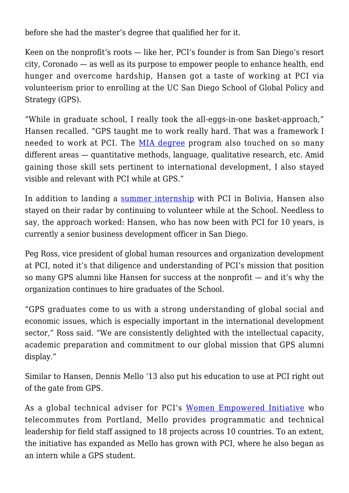before she had the master's degree that qualified her for it.

Keen on the nonprofit's roots — like her, PCI's founder is from San Diego's resort city, Coronado — as well as its purpose to empower people to enhance health, end hunger and overcome hardship, Hansen got a taste of working at PCI via volunteerism prior to enrolling at the UC San Diego School of Global Policy and Strategy (GPS).

"While in graduate school, I really took the all-eggs-in-one basket-approach," Hansen recalled. "GPS taught me to work really hard. That was a framework I needed to work at PCI. The [MIA degree](https://gps.ucsd.edu/academics/mia.html) program also touched on so many different areas — quantitative methods, language, qualitative research, etc. Amid gaining those skill sets pertinent to international development, I also stayed visible and relevant with PCI while at GPS."

In addition to landing a [summer internship](https://cdnc.ucr.edu/cgi-bin/cdnc?a=d&d=CJ20060927.2.3&srpos=1&e=-------en--20--1--txt-txIN-Coronadan+Volunteers+in+Bolivia+with+Project+Concern-------1) with PCI in Bolivia, Hansen also stayed on their radar by continuing to volunteer while at the School. Needless to say, the approach worked: Hansen, who has now been with PCI for 10 years, is currently a senior business development officer in San Diego.

Peg Ross, vice president of global human resources and organization development at PCI, noted it's that diligence and understanding of PCI's mission that position so many GPS alumni like Hansen for success at the nonprofit — and it's why the organization continues to hire graduates of the School.

"GPS graduates come to us with a strong understanding of global social and economic issues, which is especially important in the international development sector," Ross said. "We are consistently delighted with the intellectual capacity, academic preparation and commitment to our global mission that GPS alumni display."

Similar to Hansen, Dennis Mello '13 also put his education to use at PCI right out of the gate from GPS.

As a global technical adviser for PCI's [Women Empowered Initiative](https://www.pciglobal.org/womenempowered/about-the-initiative/) who telecommutes from Portland, Mello provides programmatic and technical leadership for field staff assigned to 18 projects across 10 countries. To an extent, the initiative has expanded as Mello has grown with PCI, where he also began as an intern while a GPS student.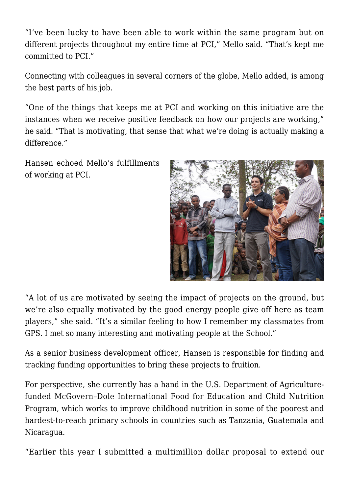"I've been lucky to have been able to work within the same program but on different projects throughout my entire time at PCI," Mello said. "That's kept me committed to PCI."

Connecting with colleagues in several corners of the globe, Mello added, is among the best parts of his job.

"One of the things that keeps me at PCI and working on this initiative are the instances when we receive positive feedback on how our projects are working," he said. "That is motivating, that sense that what we're doing is actually making a difference."

Hansen echoed Mello's fulfillments of working at PCI.



"A lot of us are motivated by seeing the impact of projects on the ground, but we're also equally motivated by the good energy people give off here as team players," she said. "It's a similar feeling to how I remember my classmates from GPS. I met so many interesting and motivating people at the School."

As a senior business development officer, Hansen is responsible for finding and tracking funding opportunities to bring these projects to fruition.

For perspective, she currently has a hand in the U.S. Department of Agriculturefunded McGovern–Dole International Food for Education and Child Nutrition Program, which works to improve childhood nutrition in some of the poorest and hardest-to-reach primary schools in countries such as Tanzania, Guatemala and Nicaragua.

"Earlier this year I submitted a multimillion dollar proposal to extend our